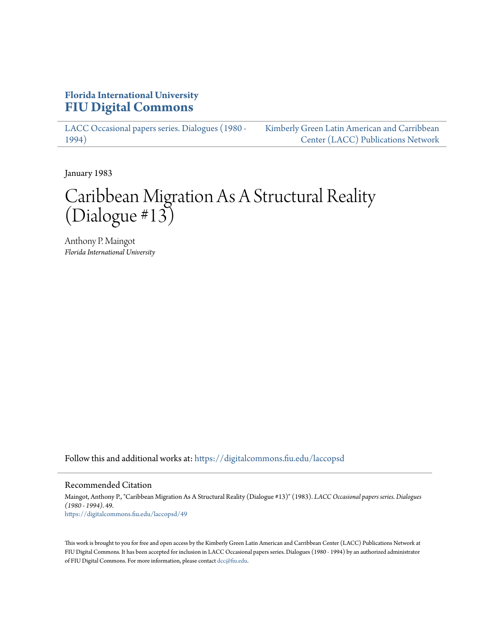# **Florida International University [FIU Digital Commons](https://digitalcommons.fiu.edu?utm_source=digitalcommons.fiu.edu%2Flaccopsd%2F49&utm_medium=PDF&utm_campaign=PDFCoverPages)**

[LACC Occasional papers series. Dialogues \(1980 -](https://digitalcommons.fiu.edu/laccopsd?utm_source=digitalcommons.fiu.edu%2Flaccopsd%2F49&utm_medium=PDF&utm_campaign=PDFCoverPages) [1994\)](https://digitalcommons.fiu.edu/laccopsd?utm_source=digitalcommons.fiu.edu%2Flaccopsd%2F49&utm_medium=PDF&utm_campaign=PDFCoverPages)

[Kimberly Green Latin American and Carribbean](https://digitalcommons.fiu.edu/laccp?utm_source=digitalcommons.fiu.edu%2Flaccopsd%2F49&utm_medium=PDF&utm_campaign=PDFCoverPages) [Center \(LACC\) Publications Network](https://digitalcommons.fiu.edu/laccp?utm_source=digitalcommons.fiu.edu%2Flaccopsd%2F49&utm_medium=PDF&utm_campaign=PDFCoverPages)

January 1983

# Caribbean Migration As A Structural Reality  $(Dialogue #13)$

Anthony P. Maingot *Florida International University*

Follow this and additional works at: [https://digitalcommons.fiu.edu/laccopsd](https://digitalcommons.fiu.edu/laccopsd?utm_source=digitalcommons.fiu.edu%2Flaccopsd%2F49&utm_medium=PDF&utm_campaign=PDFCoverPages)

Recommended Citation

Maingot, Anthony P., "Caribbean Migration As A Structural Reality (Dialogue #13)" (1983). *LACC Occasional papers series. Dialogues (1980 - 1994)*. 49. [https://digitalcommons.fiu.edu/laccopsd/49](https://digitalcommons.fiu.edu/laccopsd/49?utm_source=digitalcommons.fiu.edu%2Flaccopsd%2F49&utm_medium=PDF&utm_campaign=PDFCoverPages)

This work is brought to you for free and open access by the Kimberly Green Latin American and Carribbean Center (LACC) Publications Network at FIU Digital Commons. It has been accepted for inclusion in LACC Occasional papers series. Dialogues (1980 - 1994) by an authorized administrator of FIU Digital Commons. For more information, please contact [dcc@fiu.edu](mailto:dcc@fiu.edu).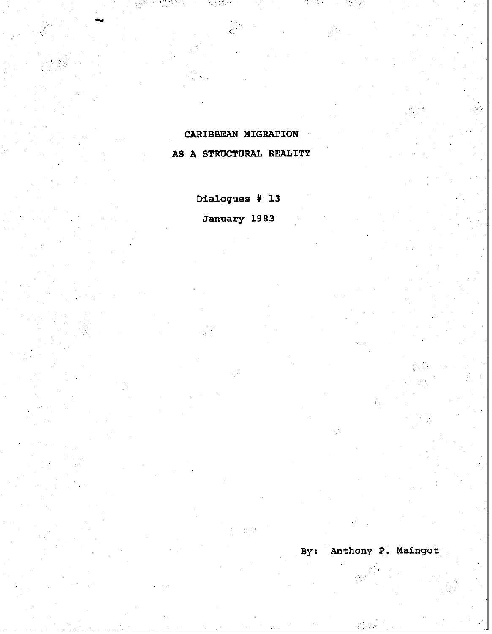# **CARIBBEAN** MIGRATION

 $\frac{d^2\phi}{dt^2}$  .

ЗX,

**AS A STRUCTURAL** REALITY

Dialogues **# 13**

January **1983**

**By:** Anthony P. Maingot

iy.<br>Nas

系。

-7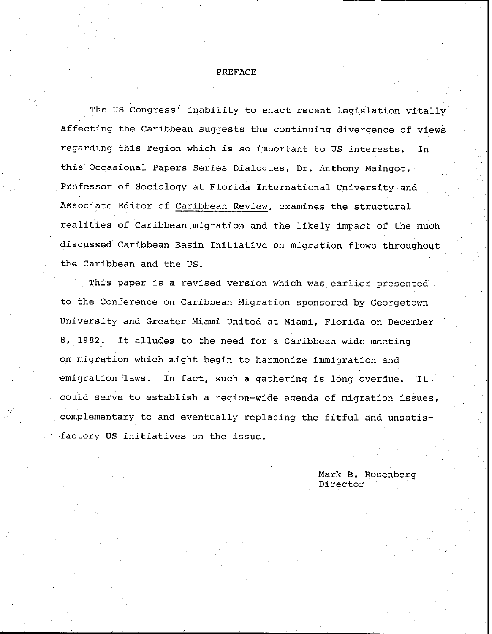# PREFACE

The US Congress' inability to enact recent legislation vitally affecting the Caribbean suggests the continuing divergence of views regarding this region which is so important to US interests. In this Occasional Papers Series Dialogues, Dr. Anthony Maingot, Professor of Sociology at Florida International University and Associate Editor of Caribbean Review, examines the structural realities of Caribbean migration and the likely impact of the much discussed Caribbean Basin Initiative on migration flows throughout the Caribbean and the US.

This paper is a revised version which was earlier presented to the Conference on Caribbean Migration sponsored by Georgetown University and Greater Miami United at Miami, Florida on December 8, 1982. It alludes to the need for a Caribbean wide meeting on migration which might begin to harmonize immigration and emigration laws. In fact, such a gathering is long overdue. It could serve to establish a region-wide agenda of migration issues, complementary to and eventually replacing the fitful and unsatisfactory US initiatives on the issue.

> Mark B. Rosenberg Director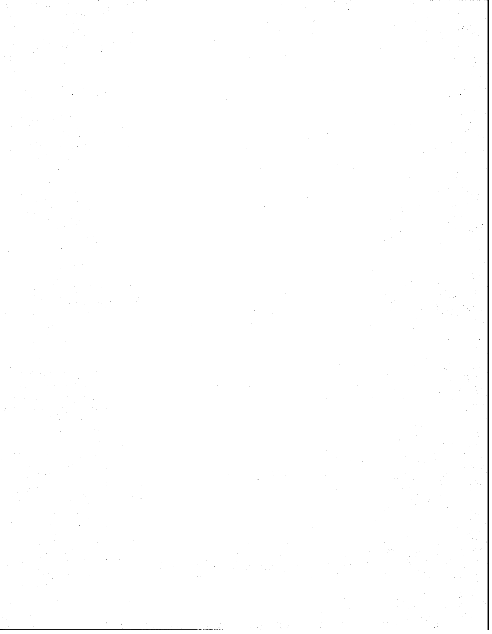$\mathcal{L}_{\text{max}}$  and  $\mathcal{L}_{\text{max}}$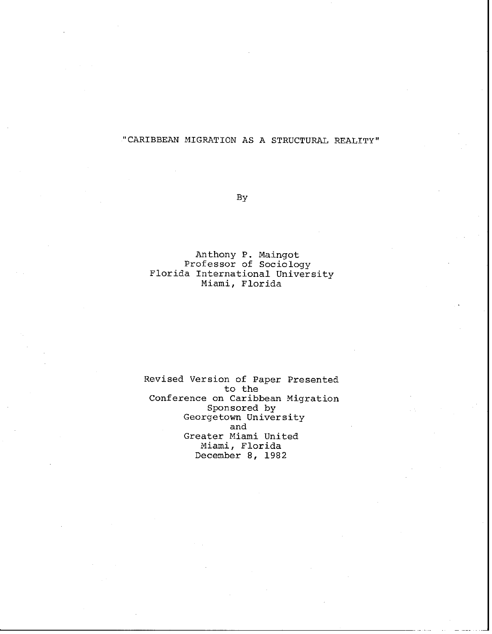# "CARIBBEAN MIGRATION **AS A** STRUCTURAL REALITY"

By

Anthony P. Maingot Professor of Sociology Florida International University Miami, Florida

Revised Version of Paper Presented to the Conference on Caribbean Migration Sponsored by Georgetown University and Greater Miami United Miami, Florida December 8, 1982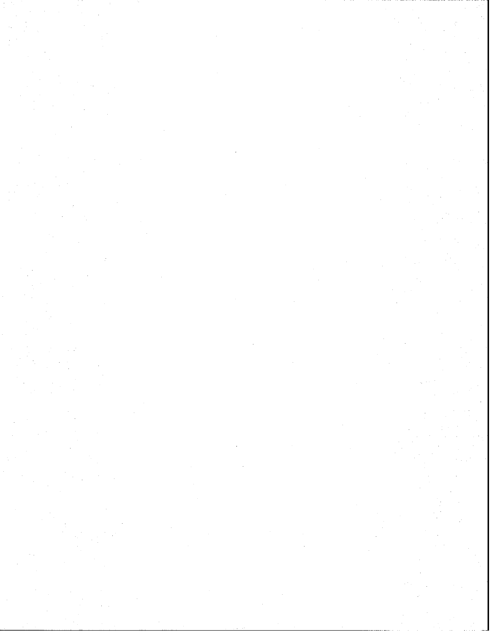$\frac{1}{2} \frac{1}{2} \frac{1}{2}$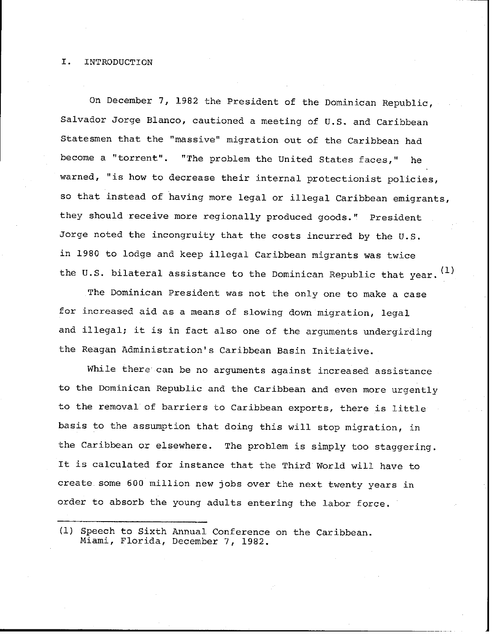### I. INTRODUCTION

On December 7, 1982 the President of the Dominican Republic, Salvador Jorge Blanco, cautioned a meeting of U.S. and Caribbean Statesmen that the "massive" migration out of the Caribbean had become a "torrent". "The problem the United States faces," he warned, "is how to decrease their internal protectionist policies, so that instead of having more legal or illegal Caribbean emigrants, they should receive more regionally produced goods." President Jorge noted the incongruity that the costs incurred by the U.S. in 1980 to lodge and keep illegal Caribbean migrants was twice the U.S. bilateral assistance to the Dominican Republic that year.  $(1)$ 

The Dominican President was not the only one to make a case for increased aid as a means of slowing down migration, legal and illegal; it is in fact also one of the arguments undergirding the Reagan Administration's Caribbean Basin Initiative.

While there can be no arguments against increased assistance to the Dominican Republic and the Caribbean and even more urgently to the removal of barriers to Caribbean exports, there is little basis to the assumption that doing this will stop migration, in the Caribbean or elsewhere. The problem is simply too staggering. It is calculated for instance that the Third World will have to create some 600 million new jobs over the next twenty years in order to absorb the young adults entering the labor force.

(1) Speech to Sixth Annual Conference on the Caribbean. Miami, Florida, December 7, 1982.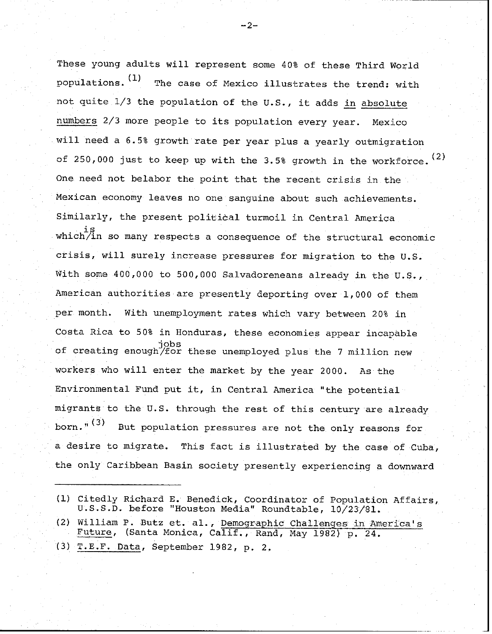These young adults will represent some 40% of these Third World populations.  $(1)$  The case of Mexico illustrates the trend: with not quite 1/3 the population of the U.S., it adds in absolute numbers 2/3 more people to its population every year. Mexico will need a 6.5% growth rate per year plus a yearly outmigration of 250,000 just to keep up with the 3.5% growth in the workforce.  $(2)$ One need not belabor the point that the recent crisis in the Mexican economy leaves no one sanguine about such achievements. Similarly, the present political turmoil in Central America is which/in so many respects a consequence of the structural economic crisis, will surely increase pressures for migration to the U.S. With some 400,000 to 500,000 Salvadoreneans already in the U.S., American authorities are presently deporting over 1,000 of them per month. With unemployment rates which vary between 20% in Costa Rica to 50% in Honduras, these economies appear incapable jobs<br>of creating enough/for these unemployed plus the 7 million new workers who will enter the market by the year 2000. As the Environmental Fund put it, in Central America "the potential migrants to the U.S. through the rest of this century are already born." $(3)$  But population pressures are not the only reasons for a desire to migrate. This fact is illustrated by the case of Cuba, the only Caribbean Basin society presently experiencing a downward

- (1) Citedly Richard E. Benedick, Coordinator of Population Affairs, U.S.S.D. before "Houston Media" Roundtable, 10/23/81.
- (2) William P. Butz et. al., Demographic Challenges in America's Future, (Santa Monica, Calif., Rand, May 1982) p. 24.
- (3) T.E.F. Data, September 1982, p. 2.

-2-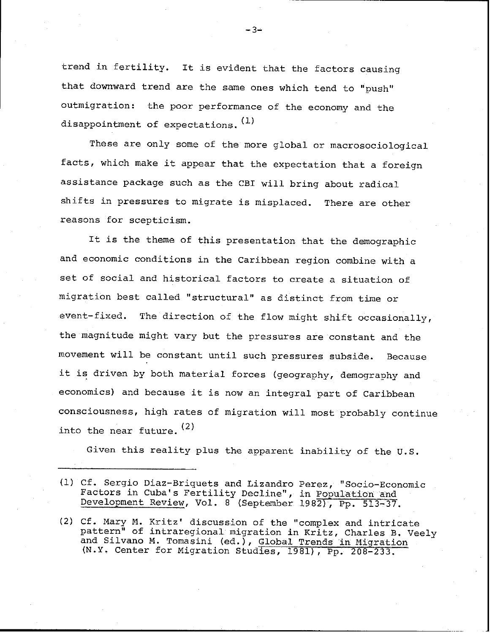trend in fertility. It is evident that the factors causing that downward trend are the same ones which tend to "push" outmigration: the poor performance of the economy and the disappointment of expectations.  $(1)$ 

These are only some of the more global or macrosociological facts, which make it appear that the expectation that a foreign assistance package such as the CBI will bring about radical shifts in pressures to migrate is misplaced. There are other reasons for scepticism.

It is the theme of this presentation that the demographic and economic conditions in the Caribbean region combine with a set of social and historical factors to create a situation of migration best called "structural" as distinct from time or event-fixed. The direction of the flow might shift occasionally, the magnitude might vary but the pressures are constant and the movement will be constant until such pressures subside. Because it is driven by both material forces (geography, demography and economics) and because it is now an integral part of Caribbean consciousness, high rates of migration will most probably continue into the near future.  $(2)$ 

Given this reality plus the apparent inability of the U.S.

- (1) Cf. Sergio Diaz-Briquets and Lizandro Perez, "Socio-Economic Factors in Cuba's Fertility Decline", in Population and Development Review, Vol. 8 (September 1982), Pp. 513-37.
- (2) Cf. Mary M. Kritz' discussion of the "complex and intricate and Silvano M. Tomasini (ed.), Global Trends in Migration (N.Y. Center for Migration Studies, 1981), Pp. 208-233.

 $-3-$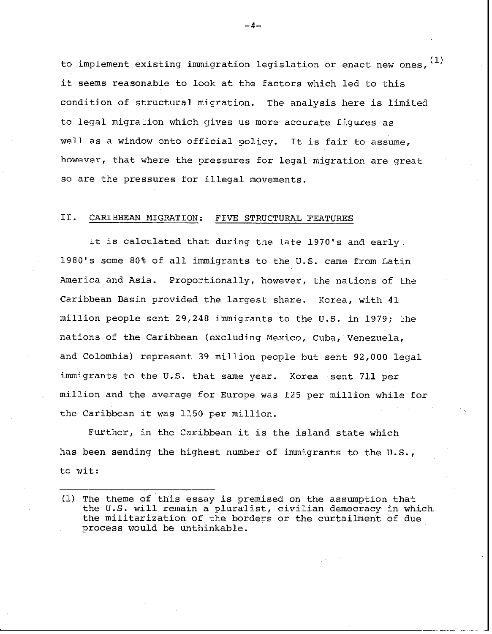to implement existing immigration legislation or enact new ones, (1) it seems reasonable to look at the factors which led to this condition of structural migration. The analysis here is limited to legal migration which gives us more accurate figures as well as a window onto official policy. It is fair to assume, however, that where the pressures for legal migration are great so are the pressures for illegal movements.

### II. CARIBBEAN MIGRATION: FIVE STRUCTURAL FEATURES

It is calculated that during the late 1970's and early 1980's some 80% of all immigrants to the U.S. came from Latin America and Asia. Proportionally, however, the nations of the Caribbean Basin provided the largest share. Korea, with 41 million people sent 29,248 immigrants to the U.S. in 1979; the nations of the Caribbean (excluding Mexico, Cuba, Venezuela, and Colombia) represent 39 million people but sent 92,000 legal immigrants to the U.S. that same year. Korea sent 711 per million and the average for Europe was 125 per million while for the Caribbean it was 1150 per million.

Further, in the Caribbean it is the island state which has been sending the highest number of immigrants to the U.S., to wit:

-4-

<sup>(1)</sup> The theme of this essay is premised on the assumption that the U.S. will remain a pluralist, civilian democracy in which the militarization of the borders or the curtailment of due process would be unthinkable.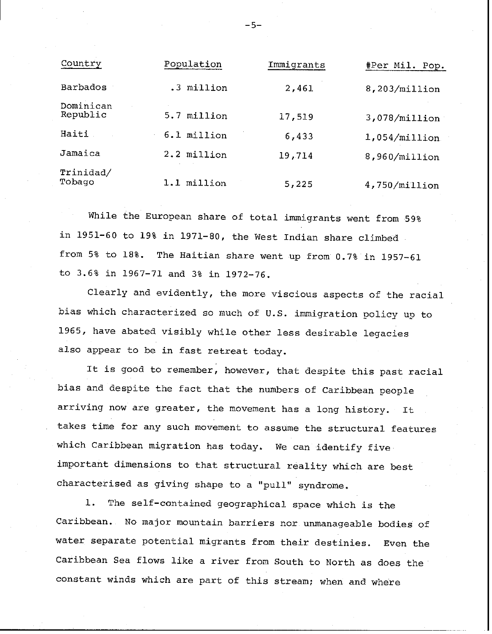| Country               | Population  | Immigrants | #Per Mil. Pop.   |
|-----------------------|-------------|------------|------------------|
| Barbados              | .3 million  | 2,461      | $8,203/m$ illion |
| Dominican<br>Republic | 5.7 million | 17,519     | 3,078/million    |
| Haiti                 | 6.1 million | 6,433      | 1,054/millicon   |
| Jamaica               | 2.2 million | 19,714     | 8,960/million    |
| Trinidad/<br>Tobago   | million     | 5,225      | $4,750/m$ illion |

While the European share of total immigrants went from 59% in 1951-60 to 19% in 1971-80, the West Indian share climbed from 5% to 18%. The Haitian share went up from 0.7% in 1957-61 to 3.6% in 1967-71 and 3% in 1972-76.

Clearly and evidently, the more viscious aspects of the racial bias which characterized so much of U.S. immigration policy up to 1965, have abated visibly while other less desirable legacies also appear to be in fast retreat today.

It is good to remember, however, that despite this past racial bias and despite the fact that the numbers of Caribbean people arriving now are greater, the movement has a long history. It takes time for any such movement to assume the structural features which Caribbean migration has today. We can identify five important dimensions to that structural reality which are best characterised as giving shape to a "pull" syndrome.

1. The self-contained geographical space which is the Caribbean. No major mountain barriers nor unmanageable bodies of water separate potential migrants from their destinies. Even the Caribbean Sea flows like a river from South to North as does the constant winds which are part of this stream; when and where

**-5-**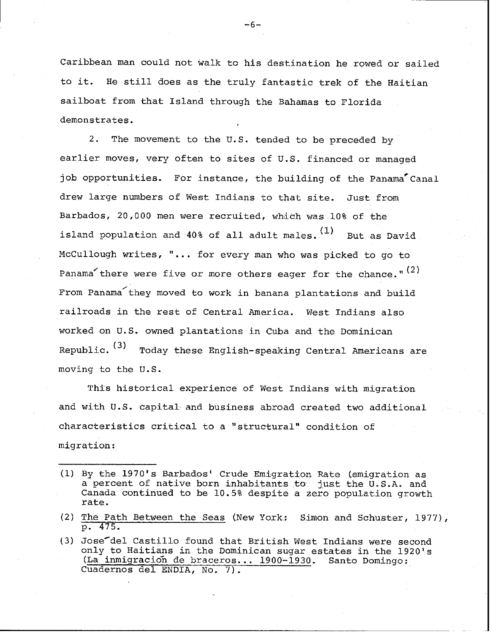Caribbean man could not walk to his destination he rowed or sailed to it. He still does as the truly fantastic trek of the Haitian sailboat from that Island through the Bahamas to Florida demonstrates.

2. The movement to the U.S. tended to be preceded by earlier moves, very often to sites of U.S. financed or managed job opportunities. For instance, the building of the Panama Canal drew large numbers of West Indians to that site. Just from Barbados, 20,000 men were recruited, which was 10% of the island population and 40% of all adult males.  $(1)$  But as David McCullough writes, "... for every man who was picked to go to Panama there were five or more others eager for the chance." $(2)$ From Panama they moved to work in banana plantations and build railroads in the rest of Central America. West Indians also worked on U.S. owned plantations in Cuba and the Dominican Republic. <sup>(3)</sup> Today these English-speaking Central Americans are moving to the U.S.

This historical experience of West Indians with migration and with U.S. capital and business abroad created two additional characteristics critical to a "structural" condition of migration:

- (2) The Path Between the Seas (New York; Simon and Schuster, 1977), p. 475.
- (3) Jose'del Castillo found that British West Indians were second only to Haitians in the Dominican sugar estates in the 1920's (La inmigracidn de braceros... 1900-1930. Santo Domingo: Cuadernos del ENDIA, No. 7).

**-6-**

<sup>(1)</sup> By the 1970's Barbados' Crude Emigration Rate (emigration as a percent of native born inhabitants to just the U.S.A. and Canada continued to be 10.5% despite a zero population growth rate.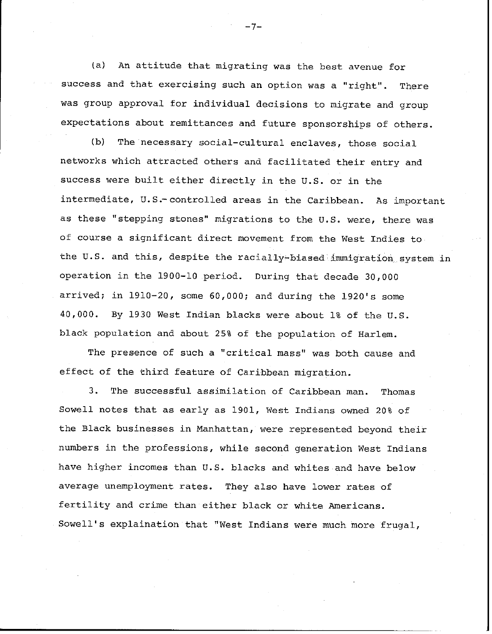(a) An attitude that migrating was the best avenue for success and that exercising such an option was a "right". There was group approval for individual decisions to migrate and group expectations about remittances and future sponsorships of others.

(b) The necessary social-cultural enclaves, those social networks which attracted others and facilitated their entry and success were built either directly in the U.S. or in the intermediate, U.S.-controlled areas in the Caribbean. As important as these "stepping stones" migrations to the U.S. were, there was of course a significant direct movement from the West Indies to the U.S. and this, despite the racially-biased immigration system in operation in the 1900-10 period. During that decade 30,000 arrived; in 1910-20, some 60,000; and during the 1920's some 40,000. By 1930 West Indian blacks were about 1% of the U.S. black population and about 25% of the population of Harlem.

The presence of such a "critical mass" was both cause and effect of the third feature of Caribbean migration.

3. The successful assimilation of Caribbean man. Thomas Sowell notes that as early as 1901, West Indians owned 20% of the Black businesses in Manhattan, were represented beyond their numbers in the professions, while second generation West Indians have higher incomes than U.S. blacks and whites and have below average unemployment rates. They also have lower rates of fertility and crime than either black or white Americans. Sowell's explaination that "West Indians were much more frugal,

-7-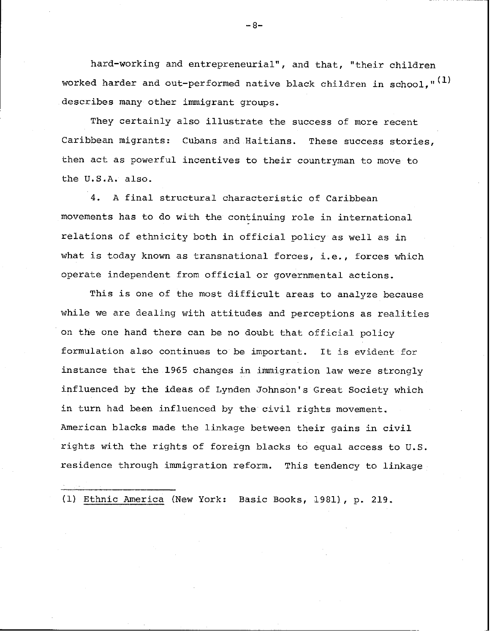hard-working and entrepreneurial", and that, "their children worked harder and out-performed native black children in school." $(1)$ describes many other immigrant groups.

They certainly also illustrate the success of more recent Caribbean migrants: Cubans and Haitians. These success stories, then act as powerful incentives to their countryman to move to the U.S.A. also.

4. A final structural characteristic of Caribbean movements has to do with the continuing role in international relations of ethnicity both in official policy as well as in what is today known as transnational forces, i.e., forces which operate independent from official or governmental actions.

This is one of the most difficult areas to analyze because while we are dealing with attitudes and perceptions as realities on the one hand there can be no doubt that official policy formulation also continues to be important. It is evident for instance that the 1965 changes in immigration law were strongly influenced by the ideas of Lynden Johnson's Great Society which in turn had been influenced by the civil rights movement. American blacks made the linkage between their gains in civil rights with the rights of foreign blacks to equal access to U.S. residence through immigration reform. This tendency to linkage

(1) Ethnic America (New York: Basic Books, 1981), p. 219.

**-8-**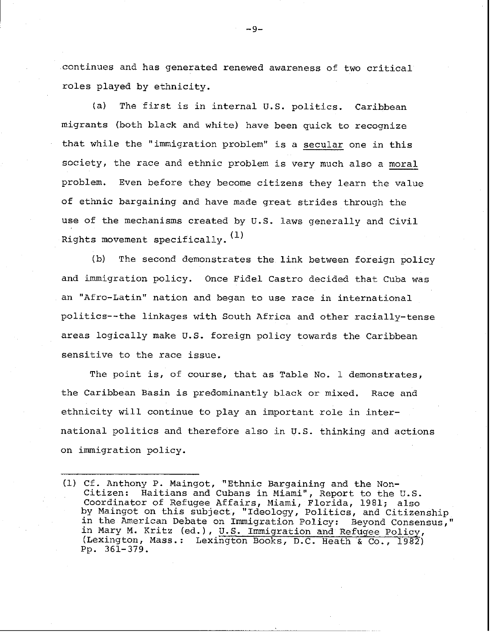continues and has generated renewed awareness of two critical roles played by ethnicity.

(a) The first is in internal U.S. politics. Caribbean migrants (both black and white) have been quick to recognize that while the "immigration problem" is a secular one in this society, the race and ethnic problem is very much also a moral problem. Even before they become citizens they learn the value of ethnic bargaining and have made great strides through the use of the mechanisms created by U.S. laws generally and Civil Rights movement specifically.  $(1)$ 

(b) The second demonstrates the link between foreign policy and immigration policy. Once Fidel Castro decided that Cuba was an "Afro-Latin" nation and began to use race in international politics--the linkages with South Africa and other racially-tense areas logically make U.S. foreign policy towards the Caribbean sensitive to the race issue.

The point is, of course, that as Table No. 1 demonstrates, the Caribbean Basin is predominantly black or mixed. Race and ethnicity will continue to play an important role in international politics and therefore also in U.S. thinking and actions on immigration policy.

**-9-**

<sup>(1)</sup> Cf. Anthony P. Maingot, "Ethnic Bargaining and the Non-Citizen: Haitians and Cubans in Miami", Report to the U.S. Coordinator of Refugee Affairs, Miami, Florida, 1981; also by Maingot on this subject, "Ideology, Politics, and Citizenship in the American Debate on Immigration Policy: Beyond Consensus," in Mary M. Kritz (ed.), U.S. Immigration and Refugee Policy, (Lexington, Mass.: Lexington Books, D.C. Heath & Co., 1982) Pp. 361-379.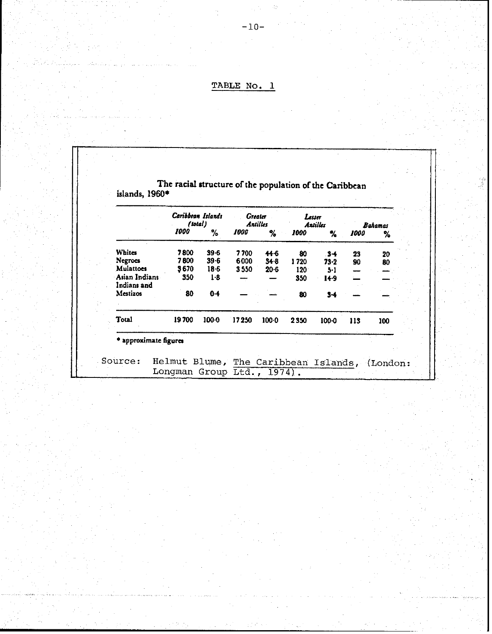# TABLE No. **1**

|                              | Caribbean Islands<br>(total) |          | Greater | <b>Antilles</b> | Leuer | <b>Antilles</b> |      | <b>Bahamas</b> |
|------------------------------|------------------------------|----------|---------|-----------------|-------|-----------------|------|----------------|
|                              | 1000                         | %        | 1000    | %               | 1000  | %               | 1000 | %              |
| <b>Whites</b>                | 7800                         | 39.6     | 7700    | 44.6            | 80    | $3-4$           | 23   | 20             |
| <b>Negroes</b>               | 7800                         | $39 - 6$ | 6000    | $34 - B$        | 1720  | 73.2            | 90   | 80             |
| Mulattoes                    | 3670                         | $18-6$   | 3550    | 20.6            | 120   | 51              |      |                |
| Asian Indians<br>Indians and | 350                          | $1-8$    |         |                 | 350   | 14.9            |      |                |
| Mestizos                     | 80                           | $0 - 4$  |         |                 | 80    | $3 - 4$         |      |                |
| <b>Total</b>                 | 19700                        | $100-0$  | 17250   | 100.0           | 2350  | $100 - 0$       | 113  | 100            |

**The racial structure of the population of the Caribbean islands, 1960\***

\*approximate figures

Source: Helmut Blume, The Caribbean Islands, (London: Longman Group Ltd., 1974).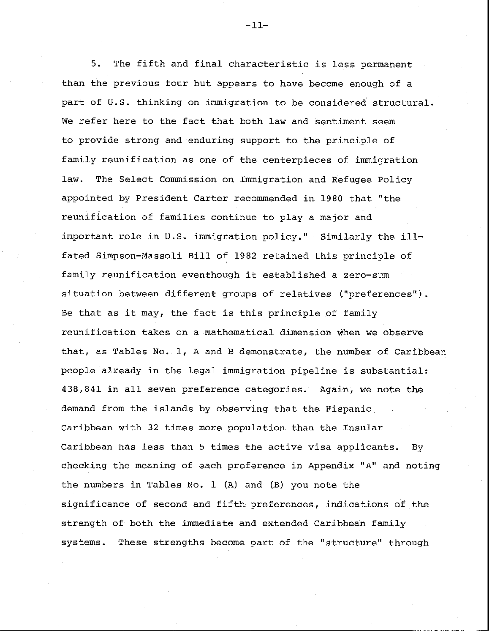5. The fifth and final characteristic is less permanent than the previous four but appears to have become enough of a part of U.S. thinking on immigration to be considered structural. We refer here to the fact that both law and sentiment seem to provide strong and enduring support to the principle of family reunification as one of the centerpieces of immigration law. The Select Commission on Immigration and Refugee Policy appointed by President Carter recommended in 1980 that "the reunification of families continue to play a major and important role in U.S. immigration policy." Similarly the illfated Simpson-Massoli Bill of 1982 retained this principle of family reunification eventhough it established a zero-sum situation between different groups of relatives ("preferences"). Be that as it may, the fact is this principle of family reunification takes on a mathematical dimension when we observe that, as Tables No. 1, A and B demonstrate, the number of Caribbean people already in the legal immigration pipeline is substantial: 438,841 in all seven preference categories. Again, we note the demand from the islands by observing that the Hispanic Caribbean with 32 times more population than the Insular Caribbean has less than 5 times the active visa applicants. By checking the meaning of each preference in Appendix "A" and noting the numbers in Tables No. 1 (A) and (B) you note the significance of second and fifth preferences, indications of the strength of both the immediate and extended Caribbean family systems. These strengths become part of the "structure" through

-11-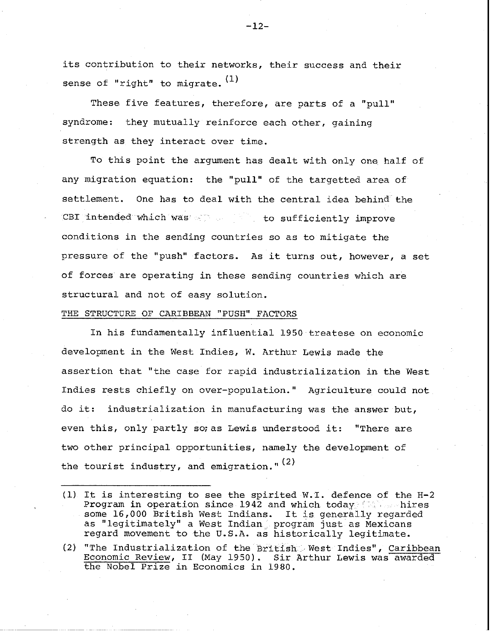its contribution to their networks, their success and their sense of "right" to migrate.  $(1)$ 

These five features, therefore, are parts of a "pull" syndrome: they mutually reinforce each other, gaining strength as they interact over time.

To this point the argument has dealt with only one half of any migration equation: the "pull" of the targetted area of settlement. One has to deal with the central idea behind the CBI intended which was specific to sufficiently improve conditions in the sending countries so as to mitigate the pressure of the "push" factors. As it turns out, however, a set of forces are operating in these sending countries which are structural and not of easy solution.

# THE STRUCTURE OF CARIBBEAN "PUSH" FACTORS

In his fundamentally influential 1950 treatese on economic development in the West Indies, W. Arthur Lewis made the assertion that "the case for rapid industrialization in the West Indies rests chiefly on over-population." Agriculture could not do it: industrialization in manufacturing was the answer but, even this, only partly so;as Lewis understood it: "There are two other principal opportunities, namely the development of the tourist industry, and emigration." $(2)$ 

-12-

<sup>(1)</sup> It is interesting to see the spirited W.I. defence of the H-2 Program in operation since 1942 and which today **ISO** and research some 16,000 British West Indians. It is generally regarded as "legitimately" a West Indian program just as Mexicans regard movement to the U.S.A. as historically legitimate.

<sup>(2) &</sup>quot;The Industrialization of the British West Indies", Caribbean Economic Review, II (May 1950). Sir Arthur Lewis was awarded the Nobel Prize in Economics in 1980.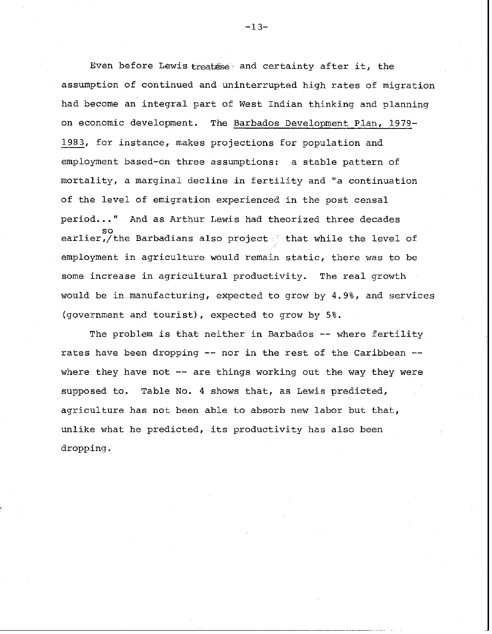Even before Lewis treatese and certainty after it, the assumption of continued and uninterrupted high rates of migration had become an integral part of West Indian thinking and planning on economic development. The Barbados Development Plan, 1979- 1983, for instance, makes projections for population and employment based-on three assumptions: a stable pattern of mortality, a marginal decline in fertility and "a continuation of the level of emigration experienced in the post censal period..." And as Arthur Lewis had theorized three decades so earlier,/the Barbadians also project  $^{\circ}$  that while the level of employment in agriculture would remain static, there was to be some increase in agricultural productivity. The real growth would be in manufacturing, expected to grow by 4.9%, and services (government and tourist), expected to grow by 5%.

The problem is that neither in Barbados -- where fertility rates have been dropping -- nor in the rest of the Caribbean -where they have not  $--$  are things working out the way they were supposed to. Table No. 4 shows that, as Lewis predicted, agriculture has not been able to absorb new labor but that, unlike what he predicted, its productivity has also been dropping.

 $-13-$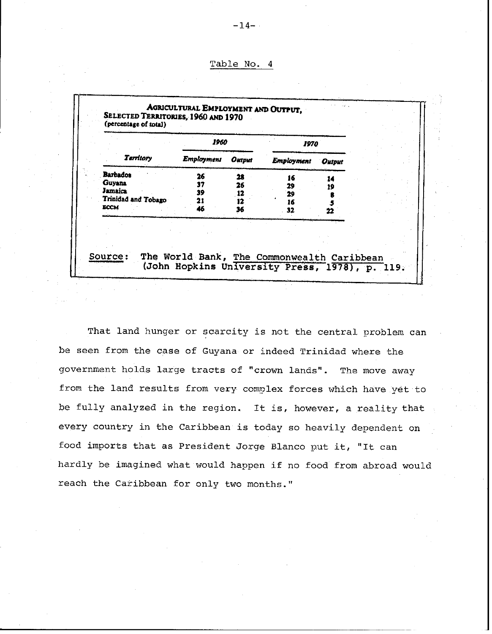| Table No. |  |  |
|-----------|--|--|
|           |  |  |

|                     | 1960              |               | 1970       |               |  |
|---------------------|-------------------|---------------|------------|---------------|--|
| Territory           | <b>Employment</b> | <b>Output</b> | Employment | <b>Output</b> |  |
| <b>Barbados</b>     | 26                | 28            | 16         | 14            |  |
| Guyana<br>Jamaica   | 37<br>39          | 26<br>12      | 29         | 19            |  |
| Trinidad and Tobago | 21                | 12            | 29<br>16   |               |  |
| ECCM                | 46                | 36            | 32         | 22            |  |
|                     |                   |               |            |               |  |

That land hunger or scarcity is not the central problem can be seen from the case of Guyana or indeed Trinidad where the government holds large tracts of "crown lands". The move away from the land results from very complex forces which have yet to be fully analyzed in the region. It is, however, a reality that every country in the Caribbean is today so heavily dependent on food imports that as President Jorge Blanco put it, "It can hardly be imagined what would happen if no food from abroad would reach the Caribbean for only two months."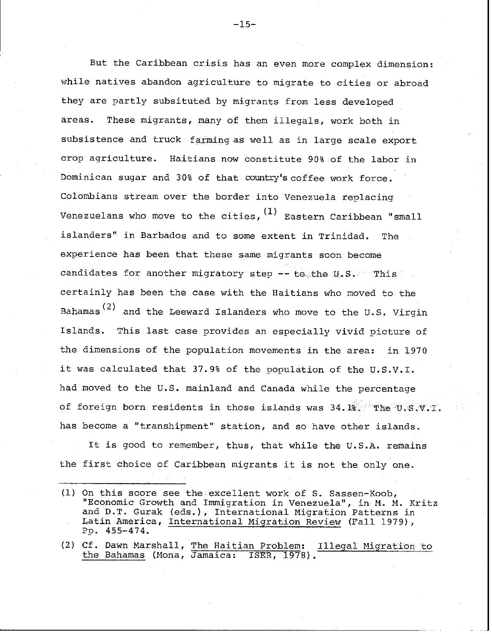But the Caribbean crisis has an even more complex dimension: while natives abandon agriculture to migrate to cities or abroad they are partly subsituted by migrants from less developed areas. These migrants, many of them illegals, work both in subsistence and truck farming as well as in large scale export crop agriculture. Haitians now constitute 90% of the labor in Dominican sugar and 30% of that country's coffee work force. Colombians stream over the border into Venezuela replacing Venezuelans who move to the cities,  $(1)$  Eastern Caribbean "small islanders" in Barbados and to some extent in Trinidad. The experience has been that these same migrants soon become candidates for another migratory step  $-$ - to the U.S. This certainly has been the case with the Haitians who moved to the Bahamas<sup>(2)</sup> and the Leeward Islanders who move to the U.S. Virgin Islands. This last case provides an especially vivid picture of the dimensions of the population movements in the area: in 1970 it was calculated that 37.9% of the population of the U.S.V.I. had moved to the U.S. mainland and Canada while the percentage of foreign born residents in those islands was  $34.1$ . The U.S.V.I. has become a "transhipment" station, and so have other islands.

It is good to remember, thus, that while the U.S.A. remains the first choice of Caribbean migrants it is not the only one.

 $-15-$ 

<sup>(1)</sup> On this score see the excellent work of S. Sassen-Koob, "Economic Growth and Immigration in Venezuela", in M. M. Kritz and D.T. Gurak (eds.), International Migration Patterns in Latin America, International Migration Review (Fall 1979), Pp. 455-474.

<sup>(2)</sup> Cf. Dawn Marshall, The Haitian Problem: Illegal Migration to the Bahamas (Mona, Jamaica: ISER, 1978).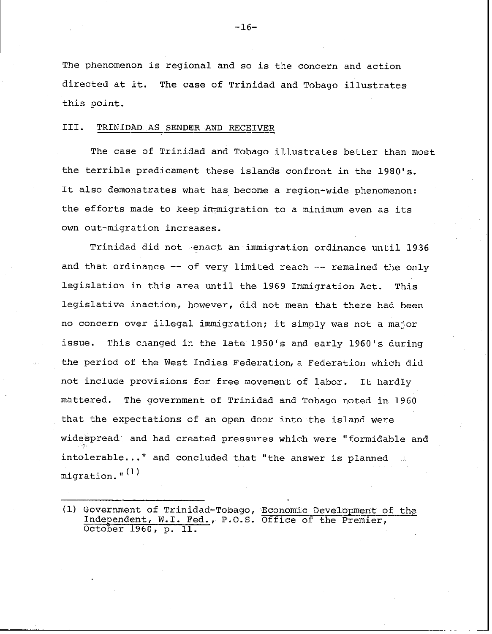The phenomenon is regional and so is the concern and action directed at it. The case of Trinidad and Tobago illustrates this point.

# III. TRINIDAD **AS SENDER AND** RECEIVER

The case of Trinidad and Tobago illustrates better than most the terrible predicament these islands confront in the 1980's. It also demonstrates what has become a region-wide phenomenon: the efforts made to keep in-migration to a minimum even as its own out-migration increases.

Trinidad did not enact an immigration ordinance until 1936 and that ordinance  $--$  of very limited reach  $--$  remained the only legislation in this area until the 1969 Immigration Act. This legislative inaction, however, did not mean that there had been no concern over illegal immigration; it simply was not a major issue. This changed in the late 1950's and early 1960's during the period of the West Indies Federation, a Federation which did not include provisions for free movement of labor. It hardly mattered. The government of Trinidad and Tobago noted in 1960 that the expectations of an open door into the island were widespread and had created pressures which were "formidable and intolerable..." and concluded that "the answer is planned  $migration.$ " $(1)$ 

(1) Government of Trinidad-Tobago, Economic Development of the Independent, W.I. Fed., P.O.S. Office of the Premier, October 1960, p. 11.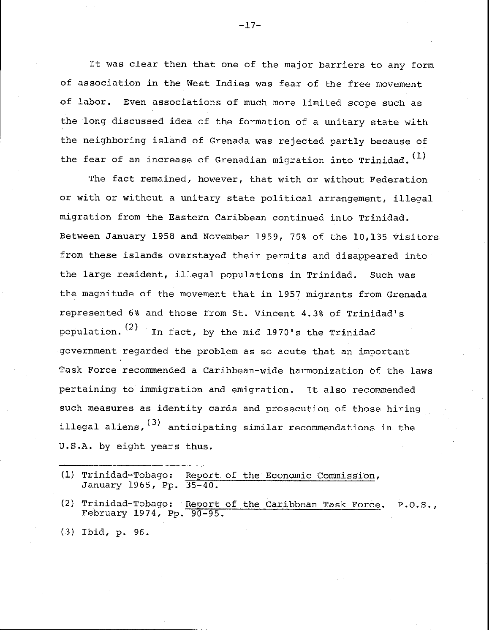It was clear then that one of the major barriers to any form of association in the West Indies was fear of the free movement of labor. Even associations of much more limited scope such as the long discussed idea of the formation of a unitary state with the neighboring island of Grenada was rejected partly because of the fear of an increase of Grenadian migration into Trinidad.  $(1)$ 

The fact remained, however, that with or without Federation or with or without a unitary state political arrangement, illegal migration from the Eastern Caribbean continued into Trinidad. Between January 1958 and November 1959, 75% of the 10,135 visitors from these islands overstayed their permits and disappeared into the large resident, illegal populations in Trinidad. Such was the magnitude of the movement that in 1957 migrants from Grenada represented 6% and those from St. Vincent 4.3% of Trinidad's population.<sup>(2)</sup> In fact, by the mid 1970's the Trinidad government regarded the problem as so acute that an important Task Force recommended a Caribbean-wide harmonization of the laws pertaining to immigration and emigration. It also recommended such measures as identity cards and prosecution of those hiring illegal aliens,  $(3)$  anticipating similar recommendations in the U.S.A. by eight years thus.

(1) Trinidad-Tobago: Report of the Economic Commission, January 1965, Pp. 35-40.

- (2) Trinidad-Tobago: Report of the Caribbean Task Force. P.O.S., February 1974, Pp. 90-95.
- (3) Ibid, p. 96.

-17-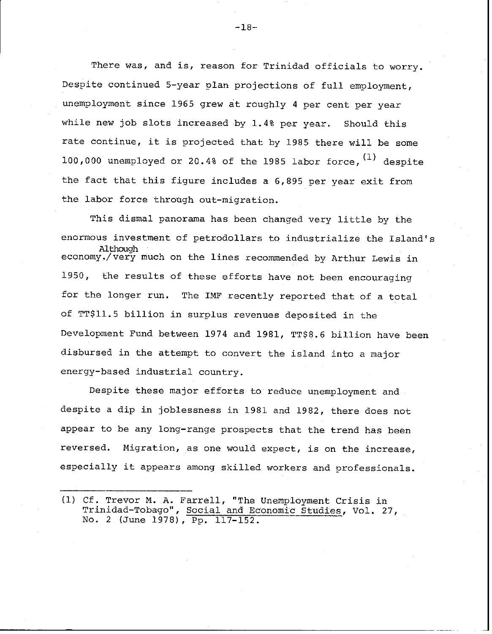There was, and is, reason for Trinidad officials to worry. Despite continued 5-year plan projections of full employment, unemployment since 1965 grew at roughly 4 per cent per year while new job slots increased by 1.4% per year. Should this rate continue, it is projected that by 1985 there will be some 100,000 unemployed or 20.4% of the 1985 labor force,  $(1)$  despite the fact that this figure includes a 6,895 per year exit from the labor force through out-migration.

This dismal panorama has been changed very little by the enormous investment of petrodollars to industrialize the Island's Although economy./very much on the lines recommended by Arthur Lewis in 1950, the results of these efforts have not been encouraging for the longer run. The IMF recently reported that of a total of TT\$11.5 billion in surplus revenues deposited in the Development Fund between 1974 and 1981, TT\$8.6 billion have been disbursed in the attempt to convert the island into a major energy-based industrial country.

Despite these major efforts to reduce unemployment and despite a dip in joblessness in 1981 and 1982, there does not appear to be any long-range prospects that the trend has been reversed. Migration, as one would expect, is on the increase, especially it appears among skilled workers and professionals.

**-18-**

<sup>(1)</sup> Cf. Trevor M. A. Farrell, "The Unemployment Crisis in Trinidad-Tobago", Social and Economic Studies, Vol. 27, No. 2 (June 1978), Pp. 117-152.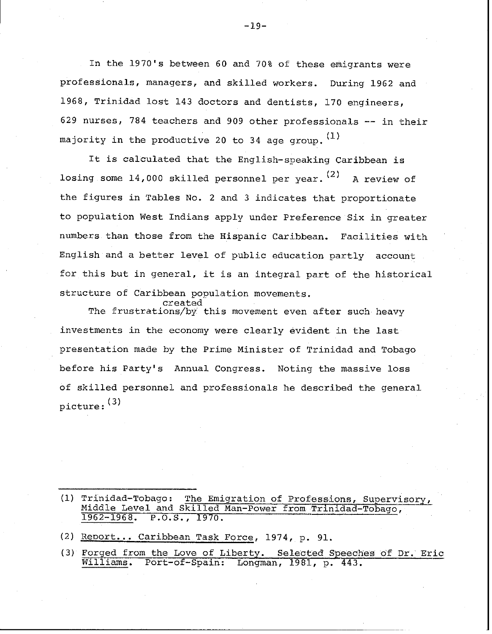In the 1970's between 60 and 70% of these emigrants were professionals, managers, and skilled workers. During 1962 and 1968, Trinidad lost 143 doctors and dentists, 170 engineers, 629 nurses, 784 teachers and 909 other professionals -- in their majority in the productive 20 to 34 age group.  $(1)$ 

It is calculated that the English-speaking Caribbean is losing some  $14,000$  skilled personnel per year.<sup>(2)</sup> A review of the figures in Tables No. 2 and 3 indicates that proportionate to population West Indians apply under Preference Six in greater numbers than those from the Hispanic Caribbean. Facilities with English and a better level of public education partly account for this but in general, it is an integral part of the historical structure of Caribbean population movements.

The frustrations/by this movement even after such heavy investments in the economy were clearly evident in the last presentation made by the Prime Minister of Trinidad and Tobago before his Party's Annual Congress. Noting the massive loss of skilled personnel and professionals he described the general picture: (3)

(1) Trinidad-Tobago: The Emigration of Professions, Supervisory, Middle Level and Skilled Man-Power from Trinidad-Tobago,<br>1962-1968. P.O.S., 1970. P.O.S., 1970.

(2) Reoort... Caribbean Task Force, 1974, p. 91.

created

(3) Forged from the Love of Liberty. Selected Speeches of Dr. Eric<br>Williams. Port-of-Spain: Longman. 1981. p. 443. Port-of-Spain: Longman, 1981, p. 443.

-19-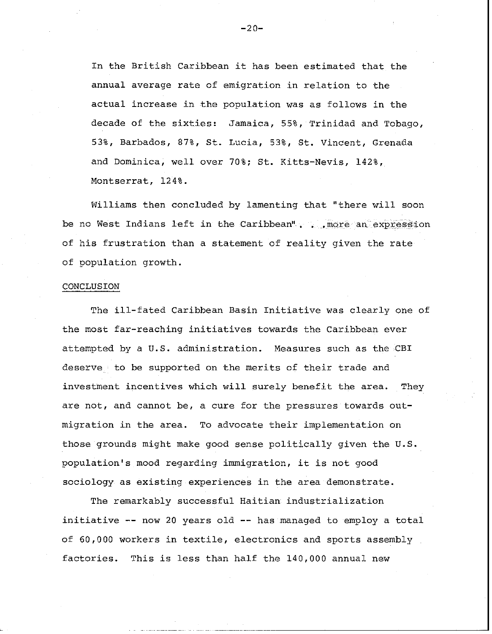In the British Caribbean it has been estimated that the annual average rate of emigration in relation to the actual increase in the population was as follows in the decade of the sixties: Jamaica, 55%, Trinidad and Tobago, 53%, Barbados, 87%, St. Lucia, 53%, St. Vincent, Grenada and Dominica, well over 70%; St. Kitts-Nevis, 142%, Montserrat, 124%.

Williams then concluded by lamenting that "there will soon be no West Indians left in the Caribbean". . more an expression of his frustration than a statement of reality given the rate of population growth.

### CONCLUSION

The ill-fated Caribbean Basin Initiative was clearly one of the most far-reaching initiatives towards the Caribbean ever attempted by a U.S. administration. Measures such as the CBI deserve to be supported on the merits of their trade and investment incentives which will surely benefit the area. They are not, and cannot be, a cure for the pressures towards outmigration in the area. To advocate their implementation on those grounds might make good sense politically given the U.S. population's mood regarding immigration, it is not good sociology as existing experiences in the area demonstrate.

The remarkably successful Haitian industrialization initiative -- now 20 years old -- has managed to employ a total of 60,000 workers in textile, electronics and sports assembly factories. This is less than half the 140,000 annual new

 $-20-$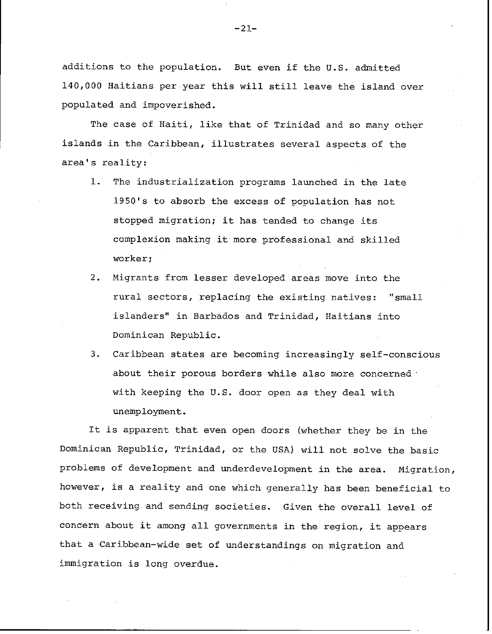$-21-$ 

additions to the population. But even if the U.S. admitted 140,000 Haitians per year this will still leave the island over populated and impoverished.

The case of Haiti, like that of Trinidad and so many other islands in the Caribbean, illustrates several aspects of the area's reality:

- 1. The industrialization programs launched in the late 1950's to absorb the excess of population has not stopped migration; it has tended to change its complexion making it more professional and skilled worker;
- 2. Migrants from lesser developed areas move into the rural sectors, replacing the existing natives: "small islanders" in Barbados and Trinidad, Haitians into Dominican Republic.
- 3. Caribbean states are becoming increasingly self-conscious about their porous borders while also more concerned . with keeping the U.S. door open as they deal with unemployment.

It is apparent that even open doors (whether they be in the Dominican Republic, Trinidad, or the USA) will not solve the basic problems of development and underdevelopment in the area. Migration, however, is a reality and one which generally has been beneficial to both receiving and sending societies. Given the overall level of concern about it among all governments in the region, it appears that a Caribbean-wide set of understandings on migration and immigration is long overdue.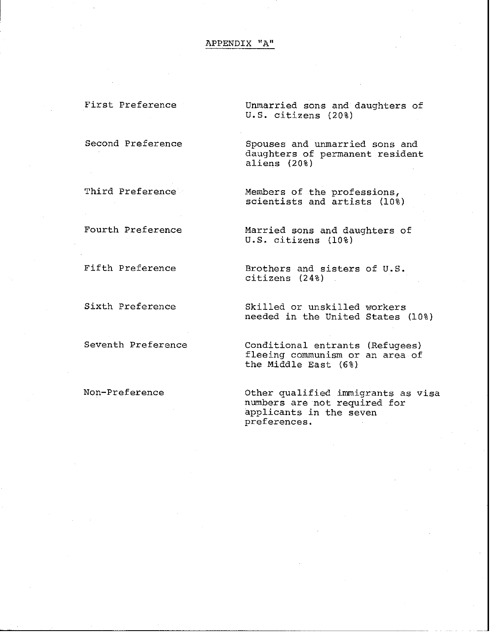# APPENDIX "A"

First Preference Unmarried sons and daughters of U.S. citizens (20%)

Second Preference Spouses and unmarried sons and daughters of permanent resident aliens (20%)

Third Preference Members of the professions, scientists and artists (10%)

Fourth Preference Married sons and daughters of U.S. citizens (10%)

Fifth Preference Brothers and sisters of U.S. citizens (24%)

Sixth Preference Skilled or unskilled workers needed in the United States (10%)

Seventh Preference Conditional entrants (Refugees) fleeing communism or an area of the Middle East (6%)

Non-Preference Other qualified immigrants as visa numbers are not required for applicants in the seven preferences.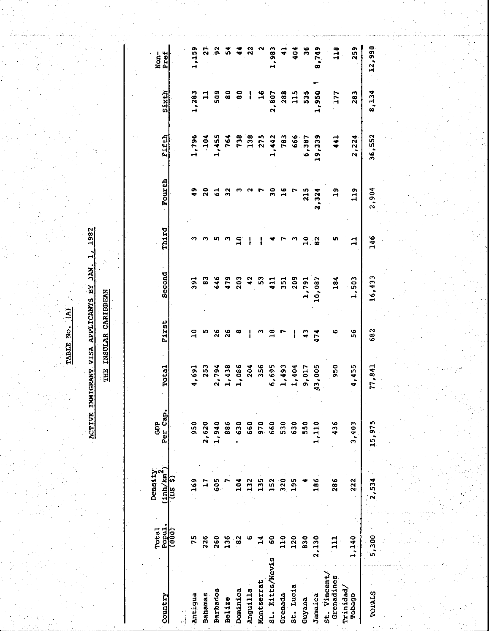TABLE NO. (A)

 $\ddot{}$  $\mathbf{a}$ ? I <sup>g</sup> ا (0

|                            |                 |                                        |                 | ACTIVE IMMIGRAMT VISA APPLICANTS BY |                       | <b>SAN.</b>   | 1982         |                  |            |                |              |
|----------------------------|-----------------|----------------------------------------|-----------------|-------------------------------------|-----------------------|---------------|--------------|------------------|------------|----------------|--------------|
|                            |                 |                                        |                 |                                     | THE INSULAR CARIBBEAN |               |              |                  |            |                |              |
|                            |                 |                                        |                 |                                     |                       |               |              |                  |            |                |              |
|                            |                 |                                        |                 |                                     |                       |               |              |                  |            |                |              |
| Country                    | Total<br>Popul. | $(\frac{i}{\mu n})^{(m^2)}$<br>Density | Per Cap.<br>GDP | Tota1                               | <b>First</b>          | Second        | Third        | Fourth           | Pifth      | Sixth          | Pref<br>Non- |
|                            | (000)           | $(s \sin)$                             |                 |                                     |                       |               |              |                  |            |                |              |
| Antigua                    | 75              | 169                                    | 950             | 4,691                               | $\overline{a}$        | $\frac{2}{3}$ |              | $\ddot{\bullet}$ | 1,796      | 1,283          | 1,159        |
| Bahamas                    | 226             | $\Xi$                                  | 2,620           | 253                                 | n                     | ួ             |              | $\mathbf{a}$     | $-104$     | ≓              | 21           |
| Barbados                   | 260             | 605                                    | 1,940           | 2,794                               | $\frac{8}{3}$         | 646           | m            | ದ                | 1,455      | $\frac{50}{2}$ | ္လ           |
| Belize                     | 136             |                                        | 886             | 1,438                               | 26                    | 479           |              | $\frac{2}{3}$    | 764        | 8              | ភី           |
| Dominica                   | 8               | $\frac{3}{10}$                         | 630             | 1,086                               | œ                     | 203           | $\mathbf{a}$ |                  | <b>738</b> | 80             | ₹            |
| Anguilla                   |                 | 132                                    | 660             | 204                                 | i                     | 42            | ł            |                  | 138        |                | ្ល           |
| Montserrat                 |                 | 135<br>1                               | 970             | 356                                 |                       | $\ddot{5}$    |              |                  | 275        | ە<br>+         |              |
| St. Kitts/Nevis            |                 | 152                                    | 660             | 6,695                               | $\overline{18}$       | 411           |              | ្ណ               | 1,442      | 2,807          | 1,983        |
| Grenada                    | $\frac{6}{11}$  | 320                                    | 530             | 1,493                               |                       | 351           |              | 윾                | 783        | 288            | $\ddot{•}$   |
| St. Lucia                  | 120             | 195                                    | 630             | 1,404                               |                       | 209           |              |                  | 666        | 115            | 404          |
| Guyana                     | 830             |                                        | 550             | 9,017                               | $\frac{3}{4}$         | 1,791         | 유.           | 215              | 6,387      | 55             | 38           |
| Jamaica                    | 2,130           | 186                                    | 1,110           | 43,005                              | 474                   | 10,087        | 82           | 2,324            | 19,339     | 1,950          | 8,749        |
| St. Vincent,<br>Grenadines | $\frac{11}{11}$ | 286                                    | 436             | 950                                 | φ                     | 184           | u٦           | $\frac{9}{1}$    | 441        | 177            | 118          |
| <b>Trinidad/</b><br>Tobago | 1,140           | 222                                    | 3,403           | 4,455                               | 56                    | 1,503         | $\mathbf{1}$ | 119              | 2,224      | 283            | 259          |
| TOTALS                     | 5,300           | 2,534                                  | 15,975          | 77,841                              | 682                   | 16,433        | 146          | 2,904            | 36,552     | 8,134          | 12,990       |
|                            |                 |                                        |                 |                                     |                       |               |              |                  |            |                |              |